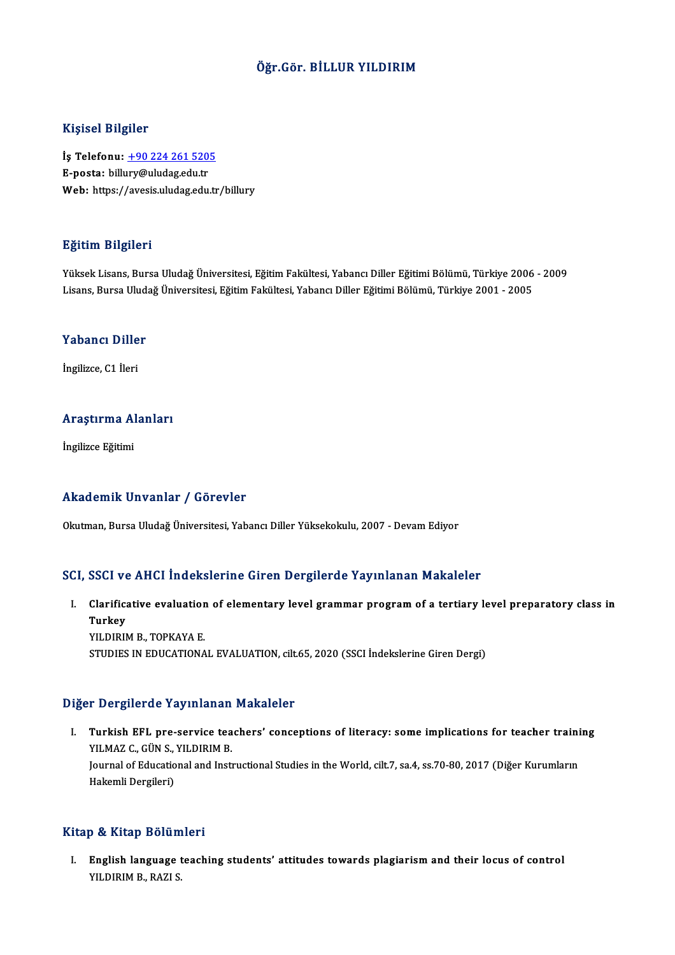### Öğr.Gör. BİLLUR YILDIRIM

### Kişisel Bilgiler

Kişisel Bilgiler<br>İş Telefonu: <u>+90 224 261 5205</u><br>E nosta: billurv@uludazedu.tr miyisə: Birgirə:<br>İş Telefonu: <u>+90 224 261 520.</u><br>E-posta: bill[ury@uludag.edu.tr](tel:+90 224 261 5205) E-posta: billury@uludag.edu.tr<br>Web: https://avesis.uludag.edu.tr/billury

### Eğitim Bilgileri

YüksekLisans,BursaUludağÜniversitesi,EğitimFakültesi,YabancıDiler EğitimiBölümü,Türkiye 2006 -2009 Lisans,BursaUludağÜniversitesi,EğitimFakültesi,YabancıDiler EğitimiBölümü,Türkiye 2001 -2005

## Lisans, bursa olud.<br>Yabancı Diller Y<mark>abancı Dille</mark><br>İngilizce, C1 İleri

## <sub>Ingliizce, CT lieri<br>Araştırma Alanları</sub> A<mark>raştırma A</mark>l<br>İngilizce Eğitimi

# Akademik Unvanlar / Görevler

Okutman, Bursa Uludağ Üniversitesi, Yabancı Diller Yüksekokulu, 2007 - Devam Ediyor

### SCI, SSCI ve AHCI İndekslerine Giren Dergilerde Yayınlanan Makaleler

CI, SSCI ve AHCI İndekslerine Giren Dergilerde Yayınlanan Makaleler<br>I. Clarificative evaluation of elementary level grammar program of a tertiary level preparatory class in<br> Turkey oodryd<br>Clarifica<br>Turkey<br>YU DIPI Clarificative evaluatior<br>Turkey<br>YILDIRIM B., TOPKAYA E.<br>STUDIES IN EDUCATIONA Turkey<br>YILDIRIM B., TOPKAYA E.<br>STUDIES IN EDUCATIONAL EVALUATION, cilt.65, 2020 (SSCI İndekslerine Giren Dergi)

#### Diğer Dergilerde Yayınlanan Makaleler

Iger Dergilerde Yayınlanan Makaleler<br>I. Turkish EFL pre-service teachers' conceptions of literacy: some implications for teacher training<br>VILMAZ G GÜN S, VILDIPM P The Substitute of the Michael<br>Turkish EFL pre-service tea<br>YILMAZ C., GÜNS., YILDIRIM B. Turkish EFL pre-service teachers' conceptions of literacy: some implications for teacher traini<br>YILMAZ C., GÜN S., YILDIRIM B.<br>Journal of Educational and Instructional Studies in the World, cilt.7, sa.4, ss.70-80, 2017 (Di YILMAZ C., GÜN S., YILDIRIM B.<br>Journal of Educational and Instructional Studies in the World, cilt.7, sa.4, ss.70-80, 2017 (Diğer Kurumların<br>Hakemli Dergileri)

#### Kitap & Kitap Bölümleri

I. English language teaching students' attitudes towards plagiarismand their locus of control y & KRup Bordin<br>English language<br>YILDIRIM B., RAZI S.